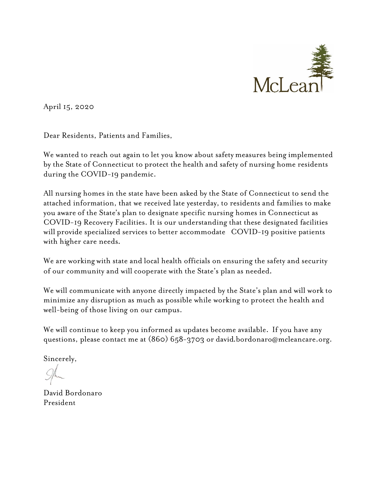

April 15, 2020

Dear Residents, Patients and Families,

We wanted to reach out again to let you know about safety measures being implemented by the State of Connecticut to protect the health and safety of nursing home residents during the COVID-19 pandemic.

All nursing homes in the state have been asked by the State of Connecticut to send the attached information, that we received late yesterday, to residents and families to make you aware of the State's plan to designate specific nursing homes in Connecticut as COVID-19 Recovery Facilities. It is our understanding that these designated facilities will provide specialized services to better accommodate COVID-19 positive patients with higher care needs.

We are working with state and local health officials on ensuring the safety and security of our community and will cooperate with the State's plan as needed.

We will communicate with anyone directly impacted by the State's plan and will work to minimize any disruption as much as possible while working to protect the health and well-being of those living on our campus.

We will continue to keep you informed as updates become available. If you have any questions, please contact me at (860) 658-3703 or david.bordonaro@mcleancare.org.

Sincerely,

David Bordonaro President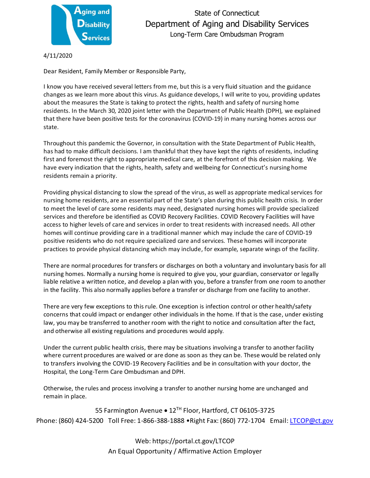

4/11/2020

Dear Resident, Family Member or Responsible Party,

I know you have received several letters from me, but this is a very fluid situation and the guidance changes as we learn more about this virus. As guidance develops, I will write to you, providing updates about the measures the State is taking to protect the rights, health and safety of nursing home residents. In the March 30, 2020 joint letter with the Department of Public Health (DPH), we explained that there have been positive tests for the coronavirus (COVID-19) in many nursing homes across our state.

Throughout this pandemic the Governor, in consultation with the State Department of Public Health, has had to make difficult decisions. I am thankful that they have kept the rights of residents, including first and foremost the right to appropriate medical care, at the forefront of this decision making. We have every indication that the rights, health, safety and wellbeing for Connecticut's nursing home residents remain a priority.

Providing physical distancing to slow the spread of the virus, as well as appropriate medical services for nursing home residents, are an essential part of the State's plan during this public health crisis. In order to meet the level of care some residents may need, designated nursing homes will provide specialized services and therefore be identified as COVID Recovery Facilities. COVID Recovery Facilities will have access to higher levels of care and services in order to treat residents with increased needs. All other homes will continue providing care in a traditional manner which may include the care of COVID-19 positive residents who do not require specialized care and services. These homes will incorporate practices to provide physical distancing which may include, for example, separate wings of the facility.

There are normal procedures for transfers or discharges on both a voluntary and involuntary basis for all nursing homes. Normally a nursing home is required to give you, your guardian, conservator or legally liable relative a written notice, and develop a plan with you, before a transfer from one room to another in the facility. This also normally applies before a transfer or discharge from one facility to another.

There are very few exceptions to this rule. One exception is infection control or other health/safety concerns that could impact or endanger other individuals in the home. If that is the case, under existing law, you may be transferred to another room with the right to notice and consultation after the fact, and otherwise all existing regulations and procedures would apply.

Under the current public health crisis, there may be situations involving a transfer to another facility where current procedures are waived or are done as soon as they can be. These would be related only to transfers involving the COVID-19 Recovery Facilities and be in consultation with your doctor, the Hospital, the Long-Term Care Ombudsman and DPH.

Otherwise, the rules and process involving a transfer to another nursing home are unchanged and remain in place.

55 Farmington Avenue • 12TH Floor, Hartford, CT 06105-3725 Phone: (860) 424-5200 Toll Free: 1-866-388-1888 • Right Fax: (860) 772-1704 Email: [LTCOP@ct.gov](mailto:LTCOP@ct.gov)

> Web: https://portal.ct.gov/LTCOP An Equal Opportunity / Affirmative Action Employer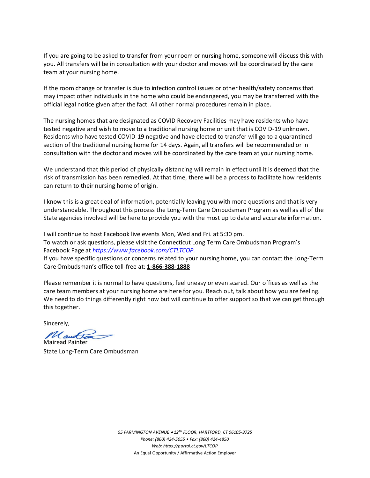If you are going to be asked to transfer from your room or nursing home, someone will discuss this with you. All transfers will be in consultation with your doctor and moves will be coordinated by the care team at your nursing home.

If the room change or transfer is due to infection control issues or other health/safety concerns that may impact other individuals in the home who could be endangered, you may be transferred with the official legal notice given after the fact. All other normal procedures remain in place.

The nursing homes that are designated as COVID Recovery Facilities may have residents who have tested negative and wish to move to a traditional nursing home or unit that is COVID-19 unknown. Residents who have tested COVID-19 negative and have elected to transfer will go to a quarantined section of the traditional nursing home for 14 days. Again, all transfers will be recommended or in consultation with the doctor and moves will be coordinated by the care team at your nursing home.

We understand that this period of physically distancing will remain in effect until it is deemed that the risk of transmission has been remedied. At that time, there will be a process to facilitate how residents can return to their nursing home of origin.

I know this is a great deal of information, potentially leaving you with more questions and that is very understandable. Throughout this process the Long-Term Care Ombudsman Program as well as all of the State agencies involved will be here to provide you with the most up to date and accurate information.

I will continue to host Facebook live events Mon, Wed and Fri. at 5:30 pm. To watch or ask questions, please visit the Connecticut Long Term Care Ombudsman Program's Facebook Page at *[https://www.facebook.com/CTLTCOP.](https://www.facebook.com/CTLTCOP)*

If you have specific questions or concerns related to your nursing home, you can contact the Long-Term Care Ombudsman's office toll-free at: **[1-866-388-1888](tel:18663881888)**

Please remember it is normal to have questions, feel uneasy or even scared. Our offices as well as the care team members at your nursing home are here for you. Reach out, talk about how you are feeling. We need to do things differently right now but will continue to offer support so that we can get through this together.

Sincerely,

Mauttan

Mairead Painter State Long-Term Care Ombudsman

*55 FARMINGTON AVENUE* • *12TH FLOOR, HARTFORD, CT 06105-3725 Phone: (860) 424-5055 • Fax: (860) 424-4850 Web: https://portal.ct.gov/LTCOP* An Equal Opportunity / Affirmative Action Employer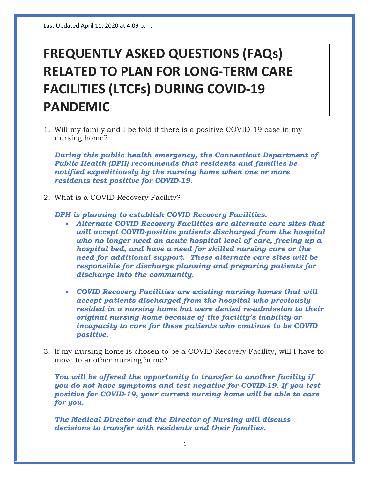## **FREQUENTLY ASKED QUESTIONS (FAQs) RELATED TO PLAN FOR LONG-TERM CARE FACILITIES (LTCFs) DURING COVID-19 PANDEMIC**

1. Will my family and I be told if there is a positive COVID-19 case in my nursing home?

*During this public health emergency, the Connecticut Department of Public Health (DPH) recommends that residents and families be notified expeditiously by the nursing home when one or more residents test positive for COVID-19.* 

2. What is a COVID Recovery Facility?

*DPH is planning to establish COVID Recovery Facilities.* 

- *Alternate COVID Recovery Facilities are alternate care sites that will accept COVID-positive patients discharged from the hospital who no longer need an acute hospital level of care, freeing up a hospital bed, and have a need for skilled nursing care or the need for additional support. These alternate care sites will be responsible for discharge planning and preparing patients for discharge into the community.*
- *COVID Recovery Facilities are existing nursing homes that will accept patients discharged from the hospital who previously resided in a nursing home but were denied re-admission to their original nursing home because of the facility's inability or incapacity to care for these patients who continue to be COVID positive.*
- 3. If my nursing home is chosen to be a COVID Recovery Facility, will I have to move to another nursing home?

*You will be offered the opportunity to transfer to another facility if you do not have symptoms and test negative for COVID-19. If you test positive for COVID-19, your current nursing home will be able to care for you.*

*The Medical Director and the Director of Nursing will discuss decisions to transfer with residents and their families.*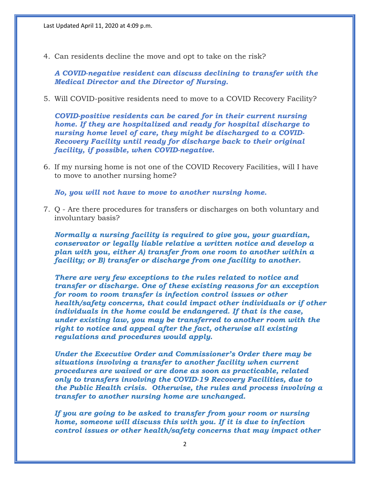4. Can residents decline the move and opt to take on the risk?

*A COVID-negative resident can discuss declining to transfer with the Medical Director and the Director of Nursing.*

5. Will COVID-positive residents need to move to a COVID Recovery Facility?

*COVID-positive residents can be cared for in their current nursing home. If they are hospitalized and ready for hospital discharge to nursing home level of care, they might be discharged to a COVID-Recovery Facility until ready for discharge back to their original facility, if possible, when COVID-negative.*

6. If my nursing home is not one of the COVID Recovery Facilities, will I have to move to another nursing home?

*No, you will not have to move to another nursing home.*

7. Q - Are there procedures for transfers or discharges on both voluntary and involuntary basis?

*Normally a nursing facility is required to give you, your guardian, conservator or legally liable relative a written notice and develop a plan with you, either A) transfer from one room to another within a facility; or B) transfer or discharge from one facility to another.* 

*There are very few exceptions to the rules related to notice and transfer or discharge. One of these existing reasons for an exception for room to room transfer is infection control issues or other health/safety concerns, that could impact other individuals or if other individuals in the home could be endangered. If that is the case, under existing law, you may be transferred to another room with the right to notice and appeal after the fact, otherwise all existing regulations and procedures would apply.*

*Under the Executive Order and Commissioner's Order there may be situations involving a transfer to another facility when current procedures are waived or are done as soon as practicable, related only to transfers involving the COVID-19 Recovery Facilities, due to the Public Health crisis. Otherwise, the rules and process involving a transfer to another nursing home are unchanged.*

*If you are going to be asked to transfer from your room or nursing home, someone will discuss this with you. If it is due to infection control issues or other health/safety concerns that may impact other*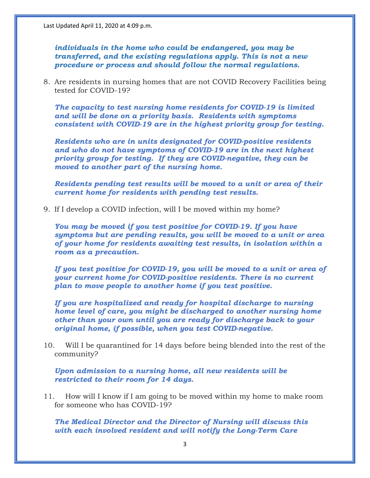*individuals in the home who could be endangered, you may be transferred, and the existing regulations apply. This is not a new procedure or process and should follow the normal regulations.*

8. Are residents in nursing homes that are not COVID Recovery Facilities being tested for COVID-19?

*The capacity to test nursing home residents for COVID-19 is limited and will be done on a priority basis. Residents with symptoms consistent with COVID-19 are in the highest priority group for testing.*

*Residents who are in units designated for COVID-positive residents and who do not have symptoms of COVID-19 are in the next highest priority group for testing. If they are COVID-negative, they can be moved to another part of the nursing home.*

*Residents pending test results will be moved to a unit or area of their current home for residents with pending test results.*

9. If I develop a COVID infection, will I be moved within my home?

*You may be moved if you test positive for COVID-19. If you have symptoms but are pending results, you will be moved to a unit or area of your home for residents awaiting test results, in isolation within a room as a precaution.*

*If you test positive for COVID-19, you will be moved to a unit or area of your current home for COVID-positive residents. There is no current plan to move people to another home if you test positive.*

*If you are hospitalized and ready for hospital discharge to nursing home level of care, you might be discharged to another nursing home other than your own until you are ready for discharge back to your original home, if possible, when you test COVID-negative.*

10. Will I be quarantined for 14 days before being blended into the rest of the community?

*Upon admission to a nursing home, all new residents will be restricted to their room for 14 days.* 

11. How will I know if I am going to be moved within my home to make room for someone who has COVID-19?

*The Medical Director and the Director of Nursing will discuss this with each involved resident and will notify the Long-Term Care*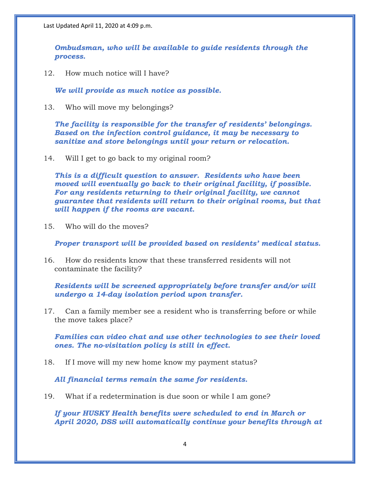*Ombudsman, who will be available to guide residents through the process.*

12. How much notice will I have?

*We will provide as much notice as possible.*

13. Who will move my belongings?

*The facility is responsible for the transfer of residents' belongings. Based on the infection control guidance, it may be necessary to sanitize and store belongings until your return or relocation.* 

14. Will I get to go back to my original room?

*This is a difficult question to answer. Residents who have been moved will eventually go back to their original facility, if possible. For any residents returning to their original facility, we cannot guarantee that residents will return to their original rooms, but that will happen if the rooms are vacant.*

15. Who will do the moves?

*Proper transport will be provided based on residents' medical status.*

16. How do residents know that these transferred residents will not contaminate the facility?

*Residents will be screened appropriately before transfer and/or will undergo a 14-day isolation period upon transfer.* 

17. Can a family member see a resident who is transferring before or while the move takes place?

*Families can video chat and use other technologies to see their loved ones. The no-visitation policy is still in effect.*

18. If I move will my new home know my payment status?

*All financial terms remain the same for residents.*

19. What if a redetermination is due soon or while I am gone?

*If your HUSKY Health benefits were scheduled to end in March or April 2020, DSS will automatically continue your benefits through at*